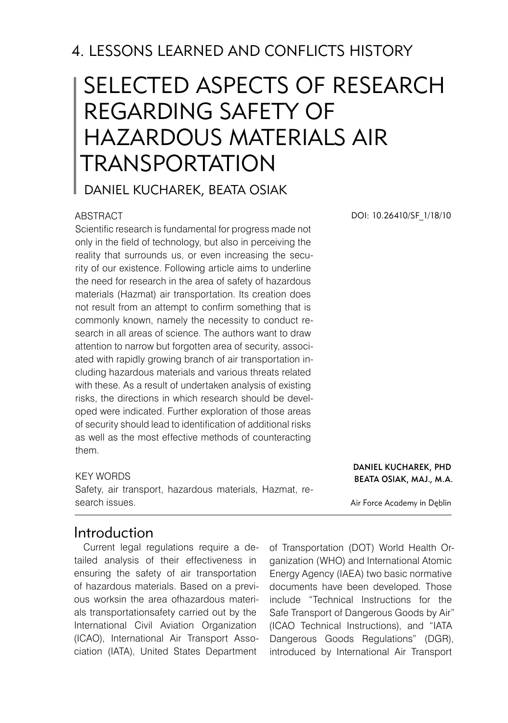## 4. LESSONS LEARNED AND CONFLICTS HISTORY

# SELECTED ASPECTS OF RESEARCH REGARDING SAFETY OF HAZARDOUS MATERIALS AIR **TRANSPORTATION**

Daniel KUCHAREK, Beata OSIAK

#### ABSTRACT

Scientific research is fundamental for progress made not only in the field of technology, but also in perceiving the reality that surrounds us, or even increasing the security of our existence. Following article aims to underline the need for research in the area of safety of hazardous materials (Hazmat) air transportation. Its creation does not result from an attempt to confirm something that is commonly known, namely the necessity to conduct research in all areas of science. The authors want to draw attention to narrow but forgotten area of security, associated with rapidly growing branch of air transportation including hazardous materials and various threats related with these. As a result of undertaken analysis of existing risks, the directions in which research should be developed were indicated. Further exploration of those areas of security should lead to identification of additional risks as well as the most effective methods of counteracting them.

#### KEY WORDS

Safety, air transport, hazardous materials, Hazmat, research issues.

DOI: 10.26410/SF\_1/18/10

#### Daniel KUCHAREK, PhD Beata OSIAK, Maj., M.A.

Air Force Academy in Dęblin

### Introduction

Current legal regulations require a detailed analysis of their effectiveness in ensuring the safety of air transportation of hazardous materials. Based on a previous worksin the area ofhazardous materials transportationsafety carried out by the International Civil Aviation Organization (ICAO), International Air Transport Association (IATA), United States Department

of Transportation (DOT) World Health Organization (WHO) and International Atomic Energy Agency (IAEA) two basic normative documents have been developed. Those include "Technical Instructions for the Safe Transport of Dangerous Goods by Air" (ICAO Technical Instructions), and "IATA Dangerous Goods Regulations" (DGR), introduced by International Air Transport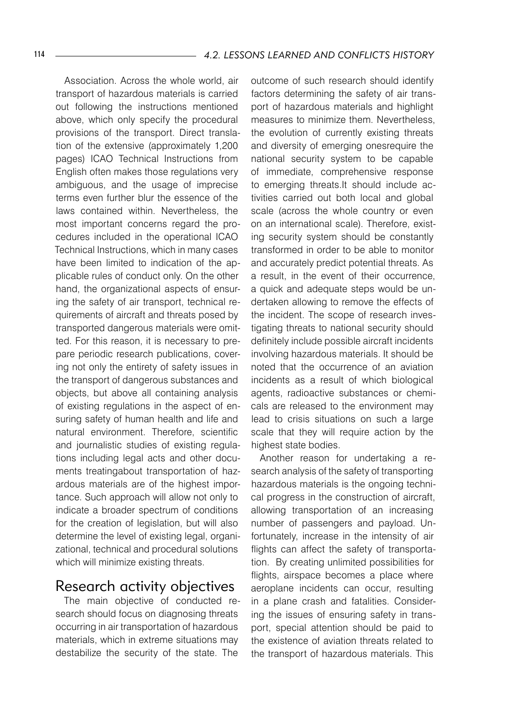Association. Across the whole world, air transport of hazardous materials is carried out following the instructions mentioned above, which only specify the procedural provisions of the transport. Direct translation of the extensive (approximately 1,200 pages) ICAO Technical Instructions from English often makes those regulations very ambiguous, and the usage of imprecise terms even further blur the essence of the laws contained within. Nevertheless, the most important concerns regard the procedures included in the operational ICAO Technical Instructions, which in many cases have been limited to indication of the applicable rules of conduct only. On the other hand, the organizational aspects of ensuring the safety of air transport, technical requirements of aircraft and threats posed by transported dangerous materials were omitted. For this reason, it is necessary to prepare periodic research publications, covering not only the entirety of safety issues in the transport of dangerous substances and objects, but above all containing analysis of existing regulations in the aspect of ensuring safety of human health and life and natural environment. Therefore, scientific and journalistic studies of existing regulations including legal acts and other documents treatingabout transportation of hazardous materials are of the highest importance. Such approach will allow not only to indicate a broader spectrum of conditions for the creation of legislation, but will also determine the level of existing legal, organizational, technical and procedural solutions which will minimize existing threats.

## Research activity objectives

The main objective of conducted research should focus on diagnosing threats occurring in air transportation of hazardous materials, which in extreme situations may destabilize the security of the state. The

outcome of such research should identify factors determining the safety of air transport of hazardous materials and highlight measures to minimize them. Nevertheless, the evolution of currently existing threats and diversity of emerging onesrequire the national security system to be capable of immediate, comprehensive response to emerging threats.It should include activities carried out both local and global scale (across the whole country or even on an international scale). Therefore, existing security system should be constantly transformed in order to be able to monitor and accurately predict potential threats. As a result, in the event of their occurrence, a quick and adequate steps would be undertaken allowing to remove the effects of the incident. The scope of research investigating threats to national security should definitely include possible aircraft incidents involving hazardous materials. It should be noted that the occurrence of an aviation incidents as a result of which biological agents, radioactive substances or chemicals are released to the environment may lead to crisis situations on such a large scale that they will require action by the highest state bodies.

Another reason for undertaking a research analysis of the safety of transporting hazardous materials is the ongoing technical progress in the construction of aircraft, allowing transportation of an increasing number of passengers and payload. Unfortunately, increase in the intensity of air flights can affect the safety of transportation. By creating unlimited possibilities for flights, airspace becomes a place where aeroplane incidents can occur, resulting in a plane crash and fatalities. Considering the issues of ensuring safety in transport, special attention should be paid to the existence of aviation threats related to the transport of hazardous materials. This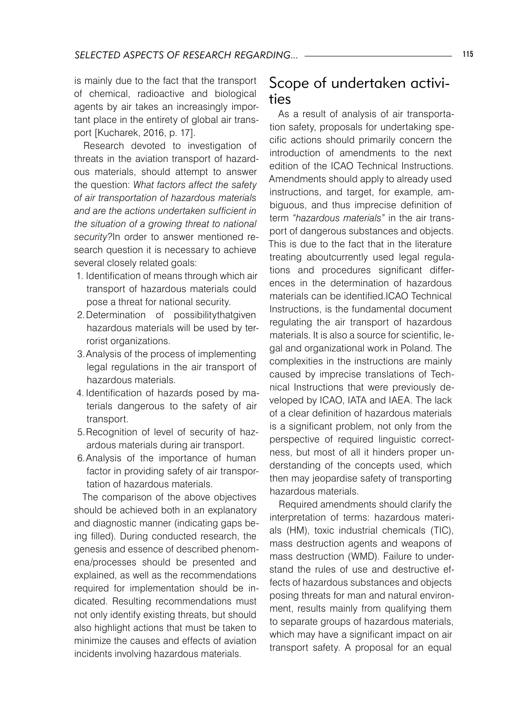is mainly due to the fact that the transport of chemical, radioactive and biological agents by air takes an increasingly important place in the entirety of global air transport [Kucharek, 2016, p. 17].

Research devoted to investigation of threats in the aviation transport of hazardous materials, should attempt to answer the question: *What factors affect the safety of air transportation of hazardous materials and are the actions undertaken sufficient in the situation of a growing threat to national security?*In order to answer mentioned research question it is necessary to achieve several closely related goals:

- 1. Identification of means through which air transport of hazardous materials could pose a threat for national security.
- 2. Determination of possibilitythatgiven hazardous materials will be used by terrorist organizations.
- 3.Analysis of the process of implementing legal regulations in the air transport of hazardous materials.
- 4. Identification of hazards posed by materials dangerous to the safety of air transport.
- 5.Recognition of level of security of hazardous materials during air transport.
- 6.Analysis of the importance of human factor in providing safety of air transportation of hazardous materials.

The comparison of the above objectives should be achieved both in an explanatory and diagnostic manner (indicating gaps being filled). During conducted research, the genesis and essence of described phenomena/processes should be presented and explained, as well as the recommendations required for implementation should be indicated. Resulting recommendations must not only identify existing threats, but should also highlight actions that must be taken to minimize the causes and effects of aviation incidents involving hazardous materials.

## Scope of undertaken activities

As a result of analysis of air transportation safety, proposals for undertaking specific actions should primarily concern the introduction of amendments to the next edition of the ICAO Technical Instructions. Amendments should apply to already used instructions, and target, for example, ambiguous, and thus imprecise definition of term *"hazardous materials"* in the air transport of dangerous substances and objects. This is due to the fact that in the literature treating aboutcurrently used legal regulations and procedures significant differences in the determination of hazardous materials can be identified.ICAO Technical Instructions, is the fundamental document regulating the air transport of hazardous materials. It is also a source for scientific, legal and organizational work in Poland. The complexities in the instructions are mainly caused by imprecise translations of Technical Instructions that were previously developed by ICAO, IATA and IAEA. The lack of a clear definition of hazardous materials is a significant problem, not only from the perspective of required linguistic correctness, but most of all it hinders proper understanding of the concepts used, which then may jeopardise safety of transporting hazardous materials.

Required amendments should clarify the interpretation of terms: hazardous materials (HM), toxic industrial chemicals (TIC), mass destruction agents and weapons of mass destruction (WMD). Failure to understand the rules of use and destructive effects of hazardous substances and objects posing threats for man and natural environment, results mainly from qualifying them to separate groups of hazardous materials, which may have a significant impact on air transport safety. A proposal for an equal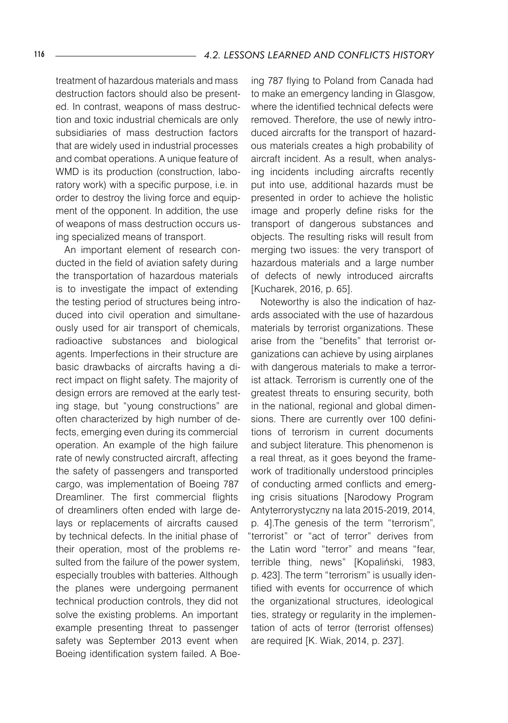treatment of hazardous materials and mass destruction factors should also be presented. In contrast, weapons of mass destruction and toxic industrial chemicals are only subsidiaries of mass destruction factors that are widely used in industrial processes and combat operations. A unique feature of WMD is its production (construction, laboratory work) with a specific purpose, i.e. in order to destroy the living force and equipment of the opponent. In addition, the use of weapons of mass destruction occurs using specialized means of transport.

An important element of research conducted in the field of aviation safety during the transportation of hazardous materials is to investigate the impact of extending the testing period of structures being introduced into civil operation and simultaneously used for air transport of chemicals, radioactive substances and biological agents. Imperfections in their structure are basic drawbacks of aircrafts having a direct impact on flight safety. The majority of design errors are removed at the early testing stage, but "young constructions" are often characterized by high number of defects, emerging even during its commercial operation. An example of the high failure rate of newly constructed aircraft, affecting the safety of passengers and transported cargo, was implementation of Boeing 787 Dreamliner. The first commercial flights of dreamliners often ended with large delays or replacements of aircrafts caused by technical defects. In the initial phase of their operation, most of the problems resulted from the failure of the power system, especially troubles with batteries. Although the planes were undergoing permanent technical production controls, they did not solve the existing problems. An important example presenting threat to passenger safety was September 2013 event when Boeing identification system failed. A Boeing 787 flying to Poland from Canada had to make an emergency landing in Glasgow, where the identified technical defects were removed. Therefore, the use of newly introduced aircrafts for the transport of hazardous materials creates a high probability of aircraft incident. As a result, when analysing incidents including aircrafts recently put into use, additional hazards must be presented in order to achieve the holistic image and properly define risks for the transport of dangerous substances and objects. The resulting risks will result from merging two issues: the very transport of hazardous materials and a large number of defects of newly introduced aircrafts [Kucharek, 2016, p. 65].

Noteworthy is also the indication of hazards associated with the use of hazardous materials by terrorist organizations. These arise from the "benefits" that terrorist organizations can achieve by using airplanes with dangerous materials to make a terrorist attack. Terrorism is currently one of the greatest threats to ensuring security, both in the national, regional and global dimensions. There are currently over 100 definitions of terrorism in current documents and subject literature. This phenomenon is a real threat, as it goes beyond the framework of traditionally understood principles of conducting armed conflicts and emerging crisis situations [Narodowy Program Antyterrorystyczny na lata 2015-2019, 2014, p. 4].The genesis of the term "terrorism", "terrorist" or "act of terror" derives from the Latin word "terror" and means "fear, terrible thing, news" [Kopaliński, 1983, p. 423]. The term "terrorism" is usually identified with events for occurrence of which the organizational structures, ideological ties, strategy or regularity in the implementation of acts of terror (terrorist offenses) are required [K. Wiak, 2014, p. 237].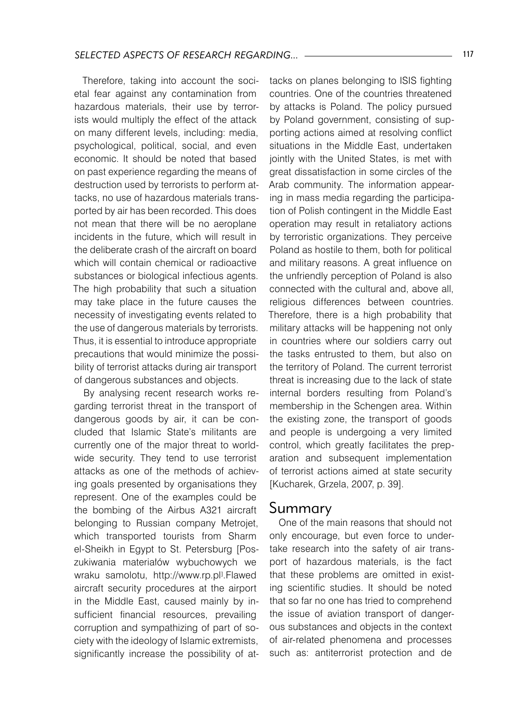Therefore, taking into account the societal fear against any contamination from hazardous materials, their use by terrorists would multiply the effect of the attack on many different levels, including: media, psychological, political, social, and even economic. It should be noted that based on past experience regarding the means of destruction used by terrorists to perform attacks, no use of hazardous materials transported by air has been recorded. This does not mean that there will be no aeroplane incidents in the future, which will result in the deliberate crash of the aircraft on board which will contain chemical or radioactive substances or biological infectious agents. The high probability that such a situation may take place in the future causes the necessity of investigating events related to the use of dangerous materials by terrorists. Thus, it is essential to introduce appropriate precautions that would minimize the possibility of terrorist attacks during air transport of dangerous substances and objects.

By analysing recent research works regarding terrorist threat in the transport of dangerous goods by air, it can be concluded that Islamic State's militants are currently one of the major threat to worldwide security. They tend to use terrorist attacks as one of the methods of achieving goals presented by organisations they represent. One of the examples could be the bombing of the Airbus A321 aircraft belonging to Russian company Metrojet, which transported tourists from Sharm el-Sheikh in Egypt to St. Petersburg [Poszukiwania materiałów wybuchowych we wraku samolotu, http://www.rp.pl<sup>j</sup>.Flawed aircraft security procedures at the airport in the Middle East, caused mainly by insufficient financial resources, prevailing corruption and sympathizing of part of society with the ideology of Islamic extremists, significantly increase the possibility of at-

tacks on planes belonging to ISIS fighting countries. One of the countries threatened by attacks is Poland. The policy pursued by Poland government, consisting of supporting actions aimed at resolving conflict situations in the Middle East, undertaken jointly with the United States, is met with great dissatisfaction in some circles of the Arab community. The information appearing in mass media regarding the participation of Polish contingent in the Middle East operation may result in retaliatory actions by terroristic organizations. They perceive Poland as hostile to them, both for political and military reasons. A great influence on the unfriendly perception of Poland is also connected with the cultural and, above all, religious differences between countries. Therefore, there is a high probability that military attacks will be happening not only in countries where our soldiers carry out the tasks entrusted to them, but also on the territory of Poland. The current terrorist threat is increasing due to the lack of state internal borders resulting from Poland's membership in the Schengen area. Within the existing zone, the transport of goods and people is undergoing a very limited control, which greatly facilitates the preparation and subsequent implementation of terrorist actions aimed at state security [Kucharek, Grzela, 2007, p. 39].

#### Summary

One of the main reasons that should not only encourage, but even force to undertake research into the safety of air transport of hazardous materials, is the fact that these problems are omitted in existing scientific studies. It should be noted that so far no one has tried to comprehend the issue of aviation transport of dangerous substances and objects in the context of air-related phenomena and processes such as: antiterrorist protection and de